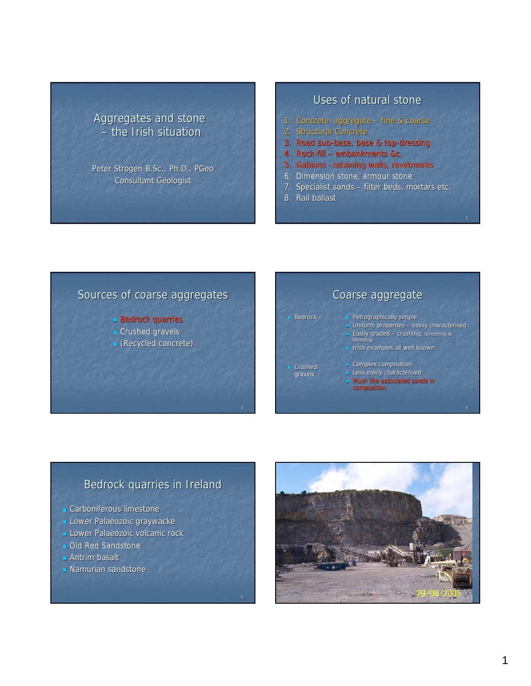## Aggregates and stone  $-$  the Irish situation

Peter Strogen B.Sc., Ph.D., PGeo **Consultant Geologist** 

#### Uses of natural stone

- 1. Concrete aggregate fine & coarse
- 2. Structural Concrete
- 3. Road sub-base, base & top-dressing
- 4. Rock-fill embankments &c.
- 5. Gabions –retaining walls, revetments
- 6. Dimension stone, armour stone
- 7. Specialist sands filter beds, mortars etc.
- 8. Rail ballast

 $\blacksquare$  Bedrock –

Crushed

## Sources of coarse aggregates

- **Bedrock quarries**
- **Crushed gravels**
- $\blacksquare$  (Recycled concrete)

# Coarse aggregate

- Petrographically simple
- Uniform properties easily characterised

2

- **Easily graded crushing**, screening & blending
- **I** Irish examples all well known
- Complex composition
- **Less easily characterised**
- **Much like associated sands in** composition

### Bedrock quarries in Ireland

- **Carboniferous limestone**
- **Lower Palaeozoic graywacke**
- **Lower Palaeozoic volcanic rock**
- **DI** Old Red Sandstone
- $\blacksquare$  Antrim basalt
- **Namurian sandstone**

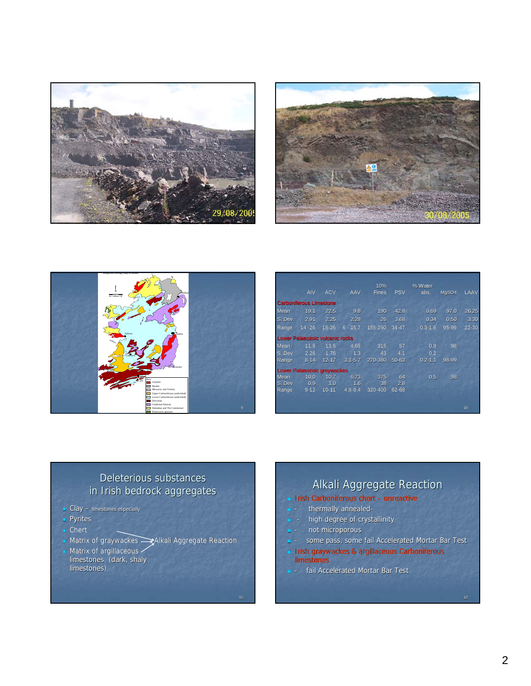





|        |                                    |            |             | 10%          |            | % Water     |           |       |
|--------|------------------------------------|------------|-------------|--------------|------------|-------------|-----------|-------|
|        | <b>AIV</b>                         | <b>ACV</b> | AAV         | <b>Fines</b> | <b>PSV</b> | abs.        | MgSO4     | LAAV  |
|        | <b>Carboniferous Limestone</b>     |            |             |              |            |             |           |       |
| Mean   | 19.1                               | 22.5       | 9.8         | 190          | 42.8       | 0.69        | 97.0      | 26.25 |
| S. Dev | 2.91                               | 2.25       | 2.28        | 26           | 3.68       | 0.34        | 0.50      | 3.30  |
| Range  | $14 - 26$                          | $18 - 26$  | $6 - 15.7$  | 155-290      | $34 - 47$  | $0.3 - 1.6$ | $95 - 99$ | 22-30 |
|        | Lower Palaeozoic volcanic rocks    |            |             |              |            |             |           |       |
| Mean   | 11.9                               | 13.5       | 4.65        | 315          | 57         | 0.9         | 98        |       |
| S. Dev | 2.28                               | 1.76       | 1.3         | 43           | 4.1        | 0.2         |           |       |
| Range  | $8 - 14$                           | $12 - 17$  | $3.1 - 5.7$ | 270-380      | $50 - 63$  | $0.2 - 1.1$ | 98-99     |       |
|        | <b>Lower Palaeozoic greywackes</b> |            |             |              |            |             |           |       |
| Mean   | 10.0                               | 10.7       | 6.73        | 375          | 64         | 0.5         | 98        |       |
| S. Dev | 0.9                                | 1.0        | 1.6         | 38           | 2.8        |             |           |       |
| Range  | $9 - 12$                           | $10 - 11$  | $4.8 - 9.4$ | 320-400      | 62-68      |             |           |       |
|        |                                    |            |             |              |            |             |           |       |
|        |                                    |            |             |              |            |             |           | 10    |

### Deleterious substances in Irish bedrock aggregates

- Clay limestones especially
- Pyrites
- **Chert**
- **Matrix of graywackes** Alkali Aggregate Reaction

11

**Matrix of argillaceous** 

limestones (dark, shaly limestones)

Alkali Aggregate Reaction Irish Carboniferous chert – unreactive - thermally annealed high degree of crystallinity not microporous

- some pass, some fail Accelerated Mortar Bar Test
- **Irish graywackes & argillaceous Carboniferous** limestones
- **-** fail Accelerated Mortar Bar Test

12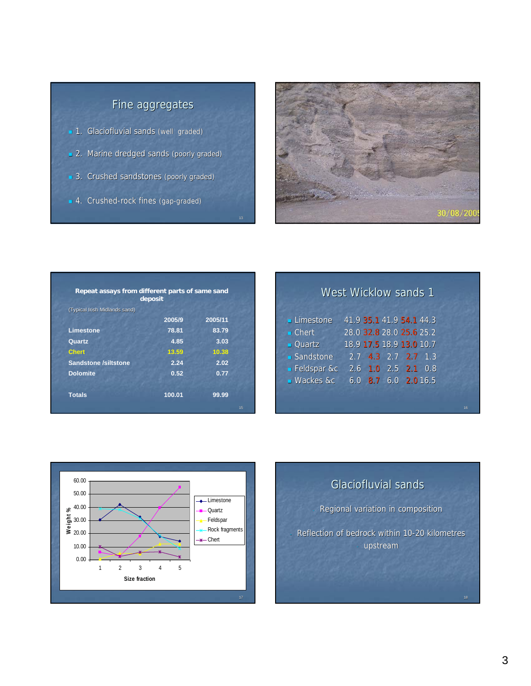# Fine aggregates

- 1. Glaciofluvial sands (well graded)
- 2. Marine dredged sands (poorly graded)
- 3. Crushed sandstones (poorly graded)

13

4. Crushed-rock fines (gap-graded)



| Repeat assays from different parts of same sand | deposit |         |    |
|-------------------------------------------------|---------|---------|----|
| (Typical Irish Midlands sand)                   |         |         |    |
|                                                 | 2005/9  | 2005/11 |    |
| <b>Limestone</b>                                | 78.81   | 83.79   |    |
| Quartz                                          | 4.85    | 3.03    |    |
| <b>Chert</b>                                    | 13.59   | 10.38   |    |
| <b>Sandstone /siltstone</b>                     | 2.24    | 2.02    |    |
| <b>Dolomite</b>                                 | 0.52    | 0.77    |    |
| <b>Totals</b>                                   | 100.01  | 99.99   | 15 |

|                       | <b>West Wicklow sands 1</b> |                          |  |  |
|-----------------------|-----------------------------|--------------------------|--|--|
|                       |                             |                          |  |  |
| <b>Limestone</b>      | 41.9 35.1 41.9 54.1 44.3    |                          |  |  |
| $\blacksquare$ Chert  | 28.0 32.8 28.0 25.6 25.2    |                          |  |  |
| $\blacksquare$ Quartz | 18.9 17.5 18.9 13.0 10.7    |                          |  |  |
| Sandstone             |                             | $2.7$ 4.3 2.7 2.7 1.3    |  |  |
| - Feldspar &c         | 2.6 1.0 2.5 2.1 0.8         |                          |  |  |
| <b>Wackes &amp;c</b>  |                             | $6.0$ 8.7 $6.0$ 2.0 16.5 |  |  |
|                       |                             |                          |  |  |
|                       |                             |                          |  |  |



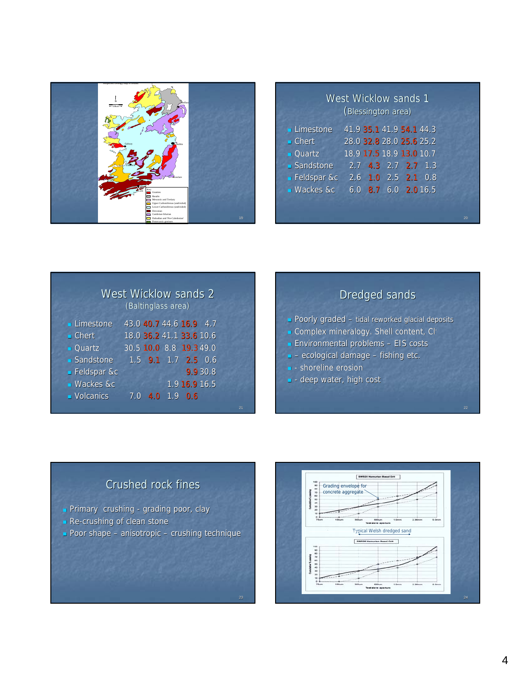

| <b>West Wicklow sands 1</b><br>(Blessington area) |                          |  |  |  |
|---------------------------------------------------|--------------------------|--|--|--|
| Limestone                                         | 41.9 35.1 41.9 54.1 44.3 |  |  |  |
| $\blacksquare$ Chert                              | 28.0 32.8 28.0 25.6 25.2 |  |  |  |
| $\blacksquare$ Quartz                             | 18.9 17.5 18.9 13.0 10.7 |  |  |  |
| Sandstone                                         | $2.7$ 4.3 $2.7$ 2.7 1.3  |  |  |  |
| <b>Feldspar &amp;c</b>                            | 2.6 1.0 2.5 2.1 0.8      |  |  |  |
| <b>Wackes &amp;c</b>                              | $6.0$ 8.7 6.0 2.0 16.5   |  |  |  |
|                                                   |                          |  |  |  |

20

|                       | <b>West Wicklow sands 2</b> | (Baltinglass area) |                     |          |  |
|-----------------------|-----------------------------|--------------------|---------------------|----------|--|
| <b>Limestone</b>      | 43.0 40.7 44.6 16.9 4.7     |                    |                     |          |  |
| $\blacksquare$ Chert  | 18.0 36.2 41.1 33.6 10.6    |                    |                     |          |  |
| $\blacksquare$ Quartz | 30.5 10.0 8.8 19.3 49.0     |                    |                     |          |  |
| ■ Sandstone           |                             |                    | 1.5 9.1 1.7 2.5 0.6 |          |  |
| <b>E</b> Feldspar &c  |                             |                    |                     | 9.9 30.8 |  |
| <b>Wackes &amp;c</b>  |                             |                    | 1.916.916.5         |          |  |
| • Volcanics           | 7.0                         |                    | $4.0$ 1.9 0.6       |          |  |

|  |  |  | <b>Dredged sands</b> |
|--|--|--|----------------------|
|--|--|--|----------------------|

- Poorly graded tidal reworked glacial deposits
- Complex mineralogy. Shell content, Cl-
- $\blacksquare$  Environmental problems EIS costs
- $-$  ecological damage fishing etc.
- **-** shoreline erosion

21

23

 $\blacksquare$  - deep water, high cost

# Crushed rock fines

- Primary crushing grading poor, clay
- Re-crushing of clean stone
- Poor shape anisotropic crushing technique